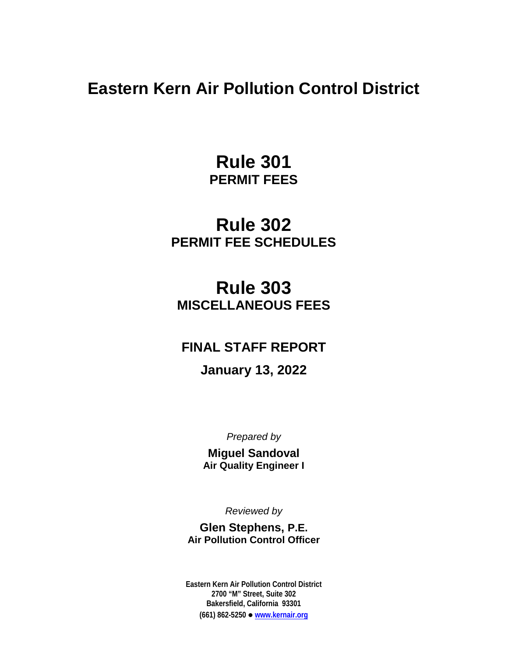**Eastern Kern Air Pollution Control District**

**Rule 301 PERMIT FEES**

# **Rule 302 PERMIT FEE SCHEDULES**

# **Rule 303 MISCELLANEOUS FEES**

# **FINAL STAFF REPORT**

# **January 13, 2022**

*Prepared by*

**Miguel Sandoval Air Quality Engineer I**

*Reviewed by*

**Glen Stephens, P.E. Air Pollution Control Officer**

**Eastern Kern Air Pollution Control District 2700 "M" Street, Suite 302 Bakersfield, California 93301 (661) 862-5250 [www.kernair.org](http://www.kernair.org/)**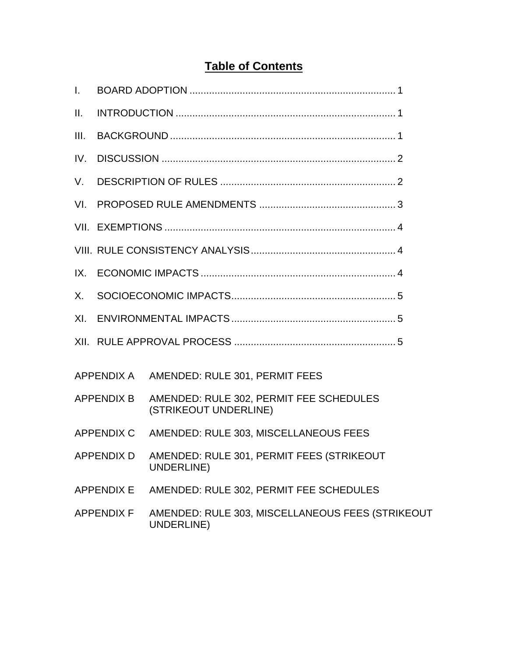# **Table of Contents**

| $\mathbf{L}$ |                   |                                                                             |
|--------------|-------------------|-----------------------------------------------------------------------------|
| II.          |                   |                                                                             |
| III.         |                   |                                                                             |
| IV.          |                   |                                                                             |
| V.           |                   |                                                                             |
| VI.          |                   |                                                                             |
|              |                   |                                                                             |
|              |                   |                                                                             |
| $IX_{-}$     |                   |                                                                             |
| X.           |                   |                                                                             |
|              |                   |                                                                             |
|              |                   |                                                                             |
|              |                   | APPENDIX A AMENDED: RULE 301, PERMIT FEES                                   |
|              |                   | APPENDIX B AMENDED: RULE 302, PERMIT FEE SCHEDULES<br>(STRIKEOUT UNDERLINE) |
|              |                   | APPENDIX C AMENDED: RULE 303, MISCELLANEOUS FEES                            |
|              |                   | APPENDIX D AMENDED: RULE 301, PERMIT FEES (STRIKEOUT<br><b>UNDERLINE)</b>   |
|              | <b>APPENDIX E</b> | AMENDED: RULE 302, PERMIT FEE SCHEDULES                                     |
|              | <b>APPENDIX F</b> | AMENDED: RULE 303, MISCELLANEOUS FEES (STRIKEOUT<br>UNDERLINE)              |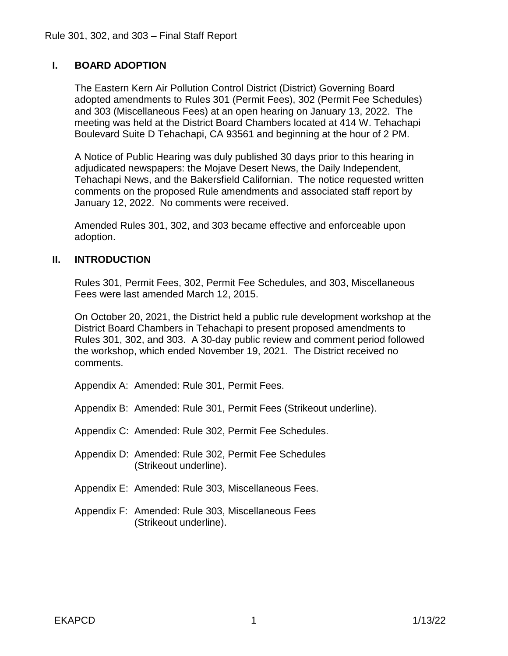# **I. BOARD ADOPTION**

The Eastern Kern Air Pollution Control District (District) Governing Board adopted amendments to Rules 301 (Permit Fees), 302 (Permit Fee Schedules) and 303 (Miscellaneous Fees) at an open hearing on January 13, 2022. The meeting was held at the District Board Chambers located at 414 W. Tehachapi Boulevard Suite D Tehachapi, CA 93561 and beginning at the hour of 2 PM.

A Notice of Public Hearing was duly published 30 days prior to this hearing in adjudicated newspapers: the Mojave Desert News, the Daily Independent, Tehachapi News, and the Bakersfield Californian. The notice requested written comments on the proposed Rule amendments and associated staff report by January 12, 2022. No comments were received.

Amended Rules 301, 302, and 303 became effective and enforceable upon adoption.

## **II. INTRODUCTION**

Rules 301, Permit Fees, 302, Permit Fee Schedules, and 303, Miscellaneous Fees were last amended March 12, 2015.

On October 20, 2021, the District held a public rule development workshop at the District Board Chambers in Tehachapi to present proposed amendments to Rules 301, 302, and 303. A 30-day public review and comment period followed the workshop, which ended November 19, 2021. The District received no comments.

Appendix A: Amended: Rule 301, Permit Fees.

Appendix B: Amended: Rule 301, Permit Fees (Strikeout underline).

Appendix C: Amended: Rule 302, Permit Fee Schedules.

- Appendix D: Amended: Rule 302, Permit Fee Schedules (Strikeout underline).
- Appendix E: Amended: Rule 303, Miscellaneous Fees.
- Appendix F: Amended: Rule 303, Miscellaneous Fees (Strikeout underline).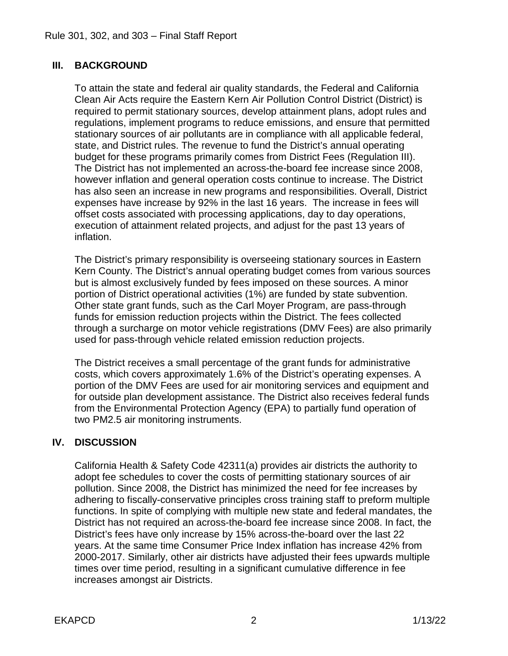# **III. BACKGROUND**

To attain the state and federal air quality standards, the Federal and California Clean Air Acts require the Eastern Kern Air Pollution Control District (District) is required to permit stationary sources, develop attainment plans, adopt rules and regulations, implement programs to reduce emissions, and ensure that permitted stationary sources of air pollutants are in compliance with all applicable federal, state, and District rules. The revenue to fund the District's annual operating budget for these programs primarily comes from District Fees (Regulation III). The District has not implemented an across-the-board fee increase since 2008, however inflation and general operation costs continue to increase. The District has also seen an increase in new programs and responsibilities. Overall, District expenses have increase by 92% in the last 16 years. The increase in fees will offset costs associated with processing applications, day to day operations, execution of attainment related projects, and adjust for the past 13 years of inflation.

The District's primary responsibility is overseeing stationary sources in Eastern Kern County. The District's annual operating budget comes from various sources but is almost exclusively funded by fees imposed on these sources. A minor portion of District operational activities (1%) are funded by state subvention. Other state grant funds, such as the Carl Moyer Program, are pass-through funds for emission reduction projects within the District. The fees collected through a surcharge on motor vehicle registrations (DMV Fees) are also primarily used for pass-through vehicle related emission reduction projects.

The District receives a small percentage of the grant funds for administrative costs, which covers approximately 1.6% of the District's operating expenses. A portion of the DMV Fees are used for air monitoring services and equipment and for outside plan development assistance. The District also receives federal funds from the Environmental Protection Agency (EPA) to partially fund operation of two PM2.5 air monitoring instruments.

## **IV. DISCUSSION**

California Health & Safety Code 42311(a) provides air districts the authority to adopt fee schedules to cover the costs of permitting stationary sources of air pollution. Since 2008, the District has minimized the need for fee increases by adhering to fiscally-conservative principles cross training staff to preform multiple functions. In spite of complying with multiple new state and federal mandates, the District has not required an across-the-board fee increase since 2008. In fact, the District's fees have only increase by 15% across-the-board over the last 22 years. At the same time Consumer Price Index inflation has increase 42% from 2000-2017. Similarly, other air districts have adjusted their fees upwards multiple times over time period, resulting in a significant cumulative difference in fee increases amongst air Districts.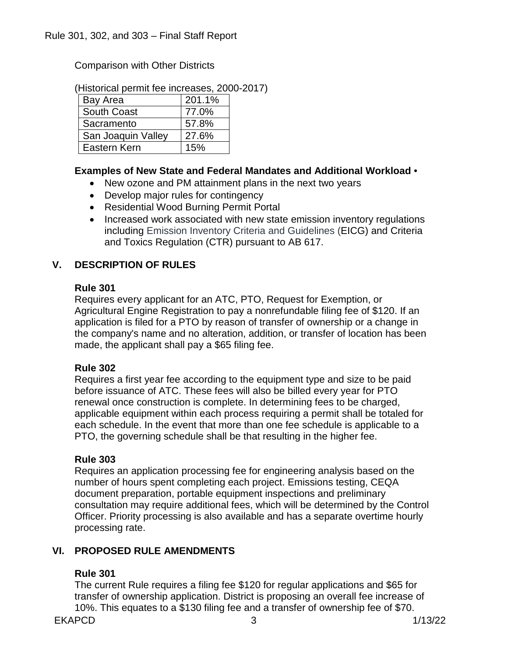Comparison with Other Districts

(Historical permit fee increases, 2000-2017)

| Bay Area           | 201.1% |
|--------------------|--------|
| <b>South Coast</b> | 77.0%  |
| Sacramento         | 57.8%  |
| San Joaquin Valley | 27.6%  |
| Eastern Kern       | 15%    |

## **Examples of New State and Federal Mandates and Additional Workload** •

- New ozone and PM attainment plans in the next two years
- Develop major rules for contingency
- Residential Wood Burning Permit Portal
- Increased work associated with new state emission inventory regulations including Emission Inventory Criteria and Guidelines (EICG) and Criteria and Toxics Regulation (CTR) pursuant to AB 617.

# **V. DESCRIPTION OF RULES**

### **Rule 301**

Requires every applicant for an ATC, PTO, Request for Exemption, or Agricultural Engine Registration to pay a nonrefundable filing fee of \$120. If an application is filed for a PTO by reason of transfer of ownership or a change in the company's name and no alteration, addition, or transfer of location has been made, the applicant shall pay a \$65 filing fee.

## **Rule 302**

Requires a first year fee according to the equipment type and size to be paid before issuance of ATC. These fees will also be billed every year for PTO renewal once construction is complete. In determining fees to be charged, applicable equipment within each process requiring a permit shall be totaled for each schedule. In the event that more than one fee schedule is applicable to a PTO, the governing schedule shall be that resulting in the higher fee.

## **Rule 303**

Requires an application processing fee for engineering analysis based on the number of hours spent completing each project. Emissions testing, CEQA document preparation, portable equipment inspections and preliminary consultation may require additional fees, which will be determined by the Control Officer. Priority processing is also available and has a separate overtime hourly processing rate.

## **VI. PROPOSED RULE AMENDMENTS**

## **Rule 301**

The current Rule requires a filing fee \$120 for regular applications and \$65 for transfer of ownership application. District is proposing an overall fee increase of 10%. This equates to a \$130 filing fee and a transfer of ownership fee of \$70.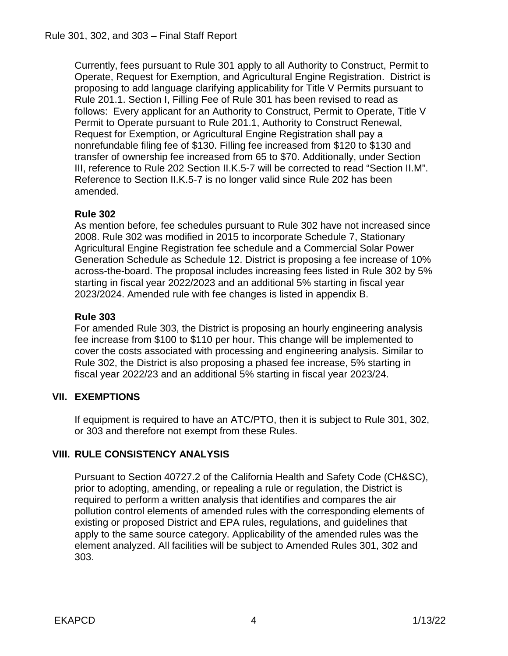Currently, fees pursuant to Rule 301 apply to all Authority to Construct, Permit to Operate, Request for Exemption, and Agricultural Engine Registration. District is proposing to add language clarifying applicability for Title V Permits pursuant to Rule 201.1. Section I, Filling Fee of Rule 301 has been revised to read as follows: Every applicant for an Authority to Construct, Permit to Operate, Title V Permit to Operate pursuant to Rule 201.1, Authority to Construct Renewal, Request for Exemption, or Agricultural Engine Registration shall pay a nonrefundable filing fee of \$130. Filling fee increased from \$120 to \$130 and transfer of ownership fee increased from 65 to \$70. Additionally, under Section III, reference to Rule 202 Section II.K.5-7 will be corrected to read "Section II.M". Reference to Section II.K.5-7 is no longer valid since Rule 202 has been amended.

# **Rule 302**

As mention before, fee schedules pursuant to Rule 302 have not increased since 2008. Rule 302 was modified in 2015 to incorporate Schedule 7, Stationary Agricultural Engine Registration fee schedule and a Commercial Solar Power Generation Schedule as Schedule 12. District is proposing a fee increase of 10% across-the-board. The proposal includes increasing fees listed in Rule 302 by 5% starting in fiscal year 2022/2023 and an additional 5% starting in fiscal year 2023/2024. Amended rule with fee changes is listed in appendix B.

# **Rule 303**

For amended Rule 303, the District is proposing an hourly engineering analysis fee increase from \$100 to \$110 per hour. This change will be implemented to cover the costs associated with processing and engineering analysis. Similar to Rule 302, the District is also proposing a phased fee increase, 5% starting in fiscal year 2022/23 and an additional 5% starting in fiscal year 2023/24.

# **VII. EXEMPTIONS**

If equipment is required to have an ATC/PTO, then it is subject to Rule 301, 302, or 303 and therefore not exempt from these Rules.

# **VIII. RULE CONSISTENCY ANALYSIS**

Pursuant to Section 40727.2 of the California Health and Safety Code (CH&SC), prior to adopting, amending, or repealing a rule or regulation, the District is required to perform a written analysis that identifies and compares the air pollution control elements of amended rules with the corresponding elements of existing or proposed District and EPA rules, regulations, and guidelines that apply to the same source category. Applicability of the amended rules was the element analyzed. All facilities will be subject to Amended Rules 301, 302 and 303.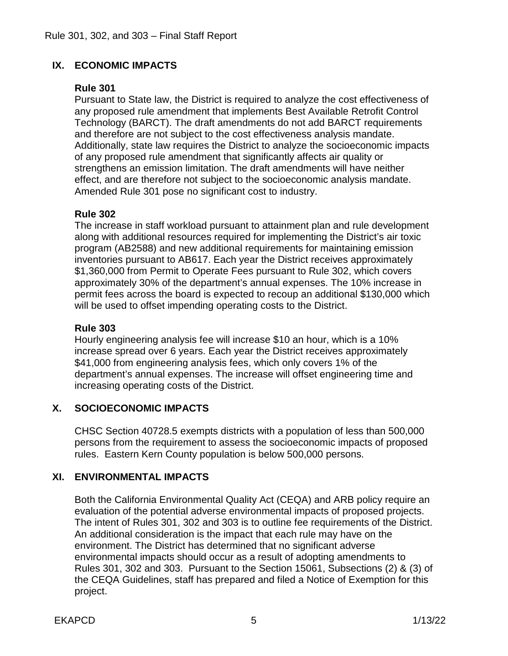# **IX. ECONOMIC IMPACTS**

## **Rule 301**

Pursuant to State law, the District is required to analyze the cost effectiveness of any proposed rule amendment that implements Best Available Retrofit Control Technology (BARCT). The draft amendments do not add BARCT requirements and therefore are not subject to the cost effectiveness analysis mandate. Additionally, state law requires the District to analyze the socioeconomic impacts of any proposed rule amendment that significantly affects air quality or strengthens an emission limitation. The draft amendments will have neither effect, and are therefore not subject to the socioeconomic analysis mandate. Amended Rule 301 pose no significant cost to industry.

# **Rule 302**

The increase in staff workload pursuant to attainment plan and rule development along with additional resources required for implementing the District's air toxic program (AB2588) and new additional requirements for maintaining emission inventories pursuant to AB617. Each year the District receives approximately \$1,360,000 from Permit to Operate Fees pursuant to Rule 302, which covers approximately 30% of the department's annual expenses. The 10% increase in permit fees across the board is expected to recoup an additional \$130,000 which will be used to offset impending operating costs to the District.

## **Rule 303**

Hourly engineering analysis fee will increase \$10 an hour, which is a 10% increase spread over 6 years. Each year the District receives approximately \$41,000 from engineering analysis fees, which only covers 1% of the department's annual expenses. The increase will offset engineering time and increasing operating costs of the District.

# **X. SOCIOECONOMIC IMPACTS**

CHSC Section 40728.5 exempts districts with a population of less than 500,000 persons from the requirement to assess the socioeconomic impacts of proposed rules. Eastern Kern County population is below 500,000 persons.

# **XI. ENVIRONMENTAL IMPACTS**

Both the California Environmental Quality Act (CEQA) and ARB policy require an evaluation of the potential adverse environmental impacts of proposed projects. The intent of Rules 301, 302 and 303 is to outline fee requirements of the District. An additional consideration is the impact that each rule may have on the environment. The District has determined that no significant adverse environmental impacts should occur as a result of adopting amendments to Rules 301, 302 and 303. Pursuant to the Section 15061, Subsections (2) & (3) of the CEQA Guidelines, staff has prepared and filed a Notice of Exemption for this project.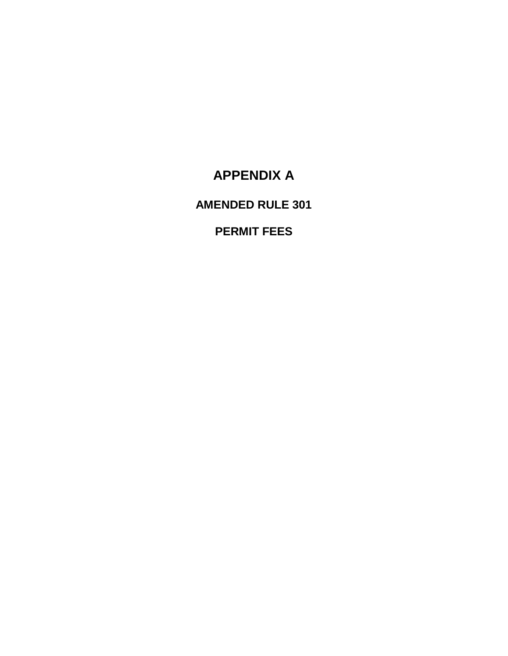# **APPENDIX A**

**AMENDED RULE 301**

# **PERMIT FEES**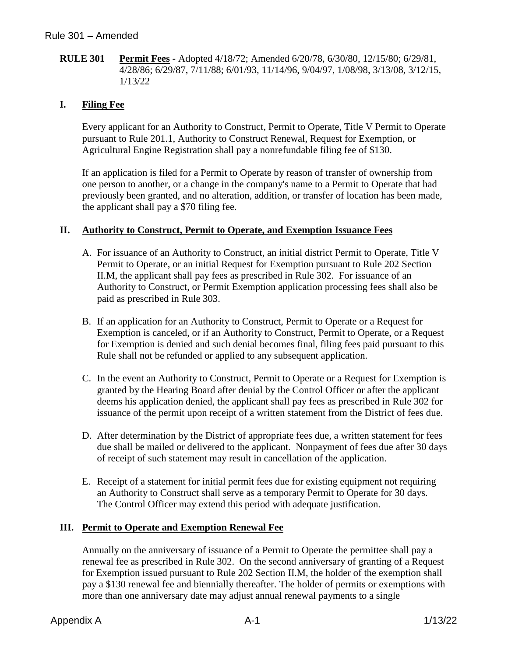**RULE 301 Permit Fees -** Adopted 4/18/72; Amended 6/20/78, 6/30/80, 12/15/80; 6/29/81, 4/28/86; 6/29/87, 7/11/88; 6/01/93, 11/14/96, 9/04/97, 1/08/98, 3/13/08, 3/12/15, 1/13/22

## **I. Filing Fee**

Every applicant for an Authority to Construct, Permit to Operate, Title V Permit to Operate pursuant to Rule 201.1, Authority to Construct Renewal, Request for Exemption, or Agricultural Engine Registration shall pay a nonrefundable filing fee of \$130.

If an application is filed for a Permit to Operate by reason of transfer of ownership from one person to another, or a change in the company's name to a Permit to Operate that had previously been granted, and no alteration, addition, or transfer of location has been made, the applicant shall pay a \$70 filing fee.

### **II. Authority to Construct, Permit to Operate, and Exemption Issuance Fees**

- A. For issuance of an Authority to Construct, an initial district Permit to Operate, Title V Permit to Operate, or an initial Request for Exemption pursuant to Rule 202 Section II.M, the applicant shall pay fees as prescribed in Rule 302. For issuance of an Authority to Construct, or Permit Exemption application processing fees shall also be paid as prescribed in Rule 303.
- B. If an application for an Authority to Construct, Permit to Operate or a Request for Exemption is canceled, or if an Authority to Construct, Permit to Operate, or a Request for Exemption is denied and such denial becomes final, filing fees paid pursuant to this Rule shall not be refunded or applied to any subsequent application.
- C. In the event an Authority to Construct, Permit to Operate or a Request for Exemption is granted by the Hearing Board after denial by the Control Officer or after the applicant deems his application denied, the applicant shall pay fees as prescribed in Rule 302 for issuance of the permit upon receipt of a written statement from the District of fees due.
- D. After determination by the District of appropriate fees due, a written statement for fees due shall be mailed or delivered to the applicant. Nonpayment of fees due after 30 days of receipt of such statement may result in cancellation of the application.
- E. Receipt of a statement for initial permit fees due for existing equipment not requiring an Authority to Construct shall serve as a temporary Permit to Operate for 30 days. The Control Officer may extend this period with adequate justification.

#### **III. Permit to Operate and Exemption Renewal Fee**

Annually on the anniversary of issuance of a Permit to Operate the permittee shall pay a renewal fee as prescribed in Rule 302. On the second anniversary of granting of a Request for Exemption issued pursuant to Rule 202 Section II.M, the holder of the exemption shall pay a \$130 renewal fee and biennially thereafter. The holder of permits or exemptions with more than one anniversary date may adjust annual renewal payments to a single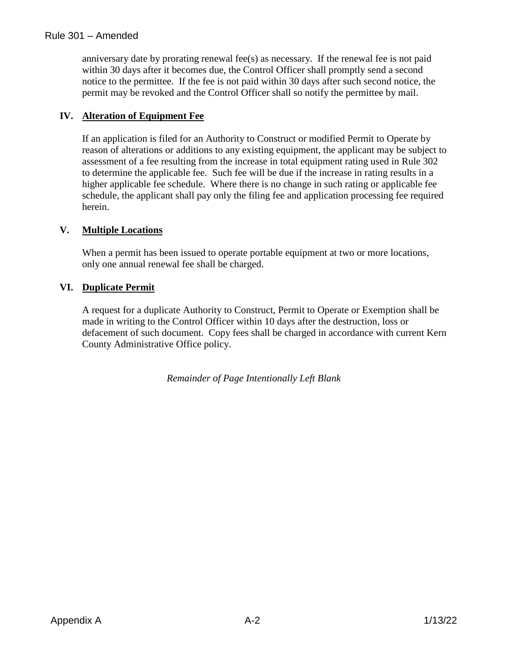anniversary date by prorating renewal fee(s) as necessary. If the renewal fee is not paid within 30 days after it becomes due, the Control Officer shall promptly send a second notice to the permittee. If the fee is not paid within 30 days after such second notice, the permit may be revoked and the Control Officer shall so notify the permittee by mail.

# **IV. Alteration of Equipment Fee**

If an application is filed for an Authority to Construct or modified Permit to Operate by reason of alterations or additions to any existing equipment, the applicant may be subject to assessment of a fee resulting from the increase in total equipment rating used in Rule 302 to determine the applicable fee. Such fee will be due if the increase in rating results in a higher applicable fee schedule. Where there is no change in such rating or applicable fee schedule, the applicant shall pay only the filing fee and application processing fee required herein.

## **V. Multiple Locations**

When a permit has been issued to operate portable equipment at two or more locations, only one annual renewal fee shall be charged.

# **VI. Duplicate Permit**

A request for a duplicate Authority to Construct, Permit to Operate or Exemption shall be made in writing to the Control Officer within 10 days after the destruction, loss or defacement of such document. Copy fees shall be charged in accordance with current Kern County Administrative Office policy.

*Remainder of Page Intentionally Left Blank*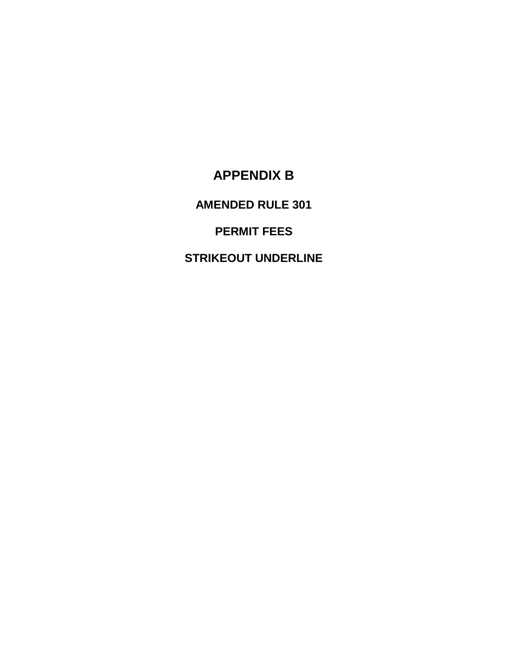# **APPENDIX B**

**AMENDED RULE 301**

**PERMIT FEES**

**STRIKEOUT UNDERLINE**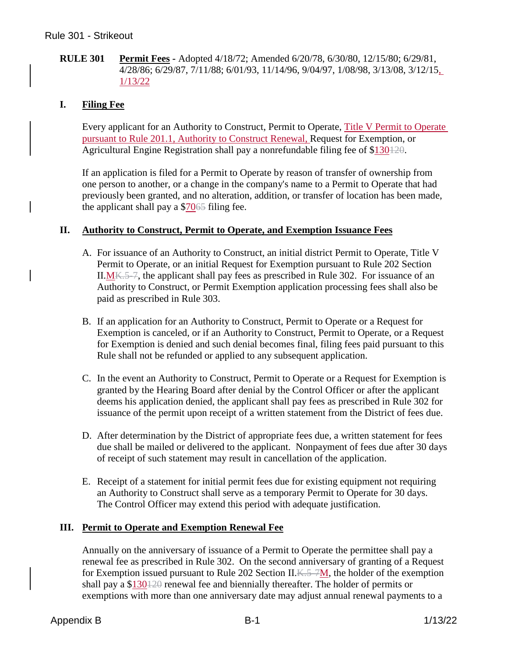### **RULE 301 Permit Fees -** Adopted 4/18/72; Amended 6/20/78, 6/30/80, 12/15/80; 6/29/81, 4/28/86; 6/29/87, 7/11/88; 6/01/93, 11/14/96, 9/04/97, 1/08/98, 3/13/08, 3/12/15, 1/13/22

## **I. Filing Fee**

Every applicant for an Authority to Construct, Permit to Operate, Title V Permit to Operate pursuant to Rule 201.1, Authority to Construct Renewal, Request for Exemption, or Agricultural Engine Registration shall pay a nonrefundable filing fee of  $$130120$ .

If an application is filed for a Permit to Operate by reason of transfer of ownership from one person to another, or a change in the company's name to a Permit to Operate that had previously been granted, and no alteration, addition, or transfer of location has been made, the applicant shall pay a \$7065 filing fee.

### **II. Authority to Construct, Permit to Operate, and Exemption Issuance Fees**

- A. For issuance of an Authority to Construct, an initial district Permit to Operate, Title V Permit to Operate, or an initial Request for Exemption pursuant to Rule 202 Section II. $M<sub>K.5–7</sub>$ , the applicant shall pay fees as prescribed in Rule 302. For issuance of an Authority to Construct, or Permit Exemption application processing fees shall also be paid as prescribed in Rule 303.
- B. If an application for an Authority to Construct, Permit to Operate or a Request for Exemption is canceled, or if an Authority to Construct, Permit to Operate, or a Request for Exemption is denied and such denial becomes final, filing fees paid pursuant to this Rule shall not be refunded or applied to any subsequent application.
- C. In the event an Authority to Construct, Permit to Operate or a Request for Exemption is granted by the Hearing Board after denial by the Control Officer or after the applicant deems his application denied, the applicant shall pay fees as prescribed in Rule 302 for issuance of the permit upon receipt of a written statement from the District of fees due.
- D. After determination by the District of appropriate fees due, a written statement for fees due shall be mailed or delivered to the applicant. Nonpayment of fees due after 30 days of receipt of such statement may result in cancellation of the application.
- E. Receipt of a statement for initial permit fees due for existing equipment not requiring an Authority to Construct shall serve as a temporary Permit to Operate for 30 days. The Control Officer may extend this period with adequate justification.

### **III. Permit to Operate and Exemption Renewal Fee**

Annually on the anniversary of issuance of a Permit to Operate the permittee shall pay a renewal fee as prescribed in Rule 302. On the second anniversary of granting of a Request for Exemption issued pursuant to Rule 202 Section II.  $K=7M$ , the holder of the exemption shall pay a \$130120 renewal fee and biennially thereafter. The holder of permits or exemptions with more than one anniversary date may adjust annual renewal payments to a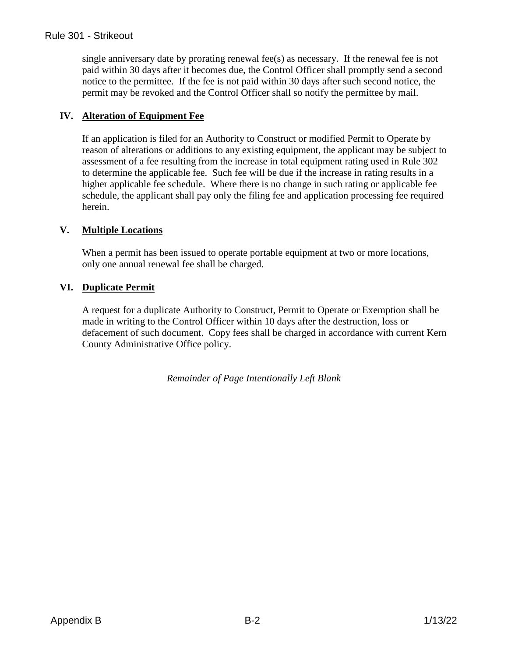single anniversary date by prorating renewal fee(s) as necessary. If the renewal fee is not paid within 30 days after it becomes due, the Control Officer shall promptly send a second notice to the permittee. If the fee is not paid within 30 days after such second notice, the permit may be revoked and the Control Officer shall so notify the permittee by mail.

# **IV. Alteration of Equipment Fee**

If an application is filed for an Authority to Construct or modified Permit to Operate by reason of alterations or additions to any existing equipment, the applicant may be subject to assessment of a fee resulting from the increase in total equipment rating used in Rule 302 to determine the applicable fee. Such fee will be due if the increase in rating results in a higher applicable fee schedule. Where there is no change in such rating or applicable fee schedule, the applicant shall pay only the filing fee and application processing fee required herein.

## **V. Multiple Locations**

When a permit has been issued to operate portable equipment at two or more locations, only one annual renewal fee shall be charged.

## **VI. Duplicate Permit**

A request for a duplicate Authority to Construct, Permit to Operate or Exemption shall be made in writing to the Control Officer within 10 days after the destruction, loss or defacement of such document. Copy fees shall be charged in accordance with current Kern County Administrative Office policy.

*Remainder of Page Intentionally Left Blank*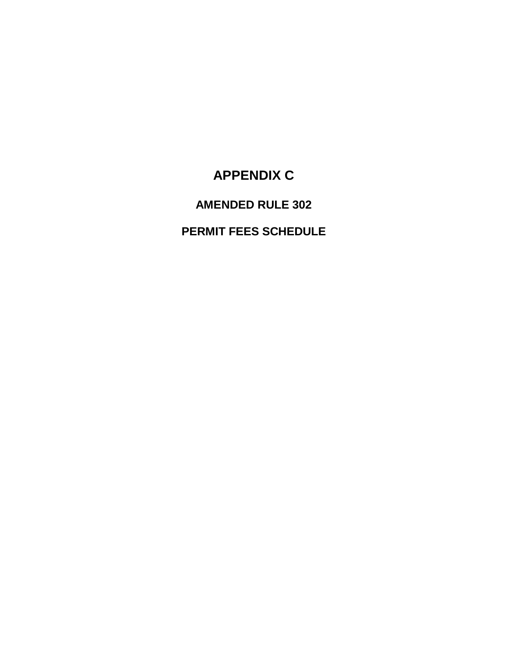# **APPENDIX C**

# **AMENDED RULE 302**

# **PERMIT FEES SCHEDULE**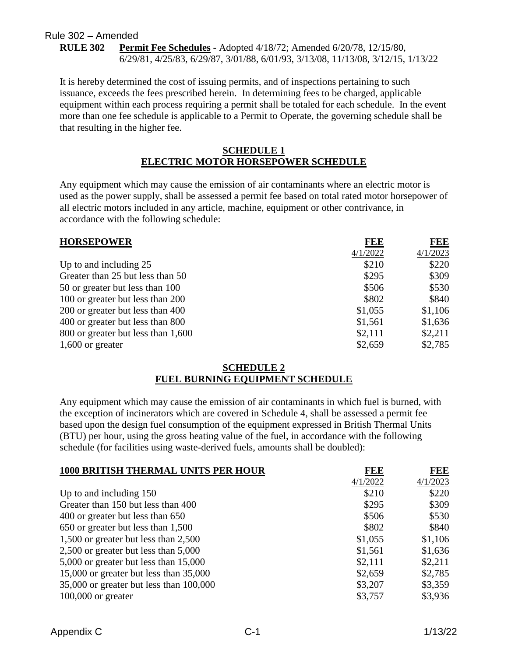#### Rule 302 – Amended **RULE 302 Permit Fee Schedules -** Adopted 4/18/72; Amended 6/20/78, 12/15/80, 6/29/81, 4/25/83, 6/29/87, 3/01/88, 6/01/93, 3/13/08, 11/13/08, 3/12/15, 1/13/22

It is hereby determined the cost of issuing permits, and of inspections pertaining to such issuance, exceeds the fees prescribed herein. In determining fees to be charged, applicable equipment within each process requiring a permit shall be totaled for each schedule. In the event more than one fee schedule is applicable to a Permit to Operate, the governing schedule shall be that resulting in the higher fee.

#### **SCHEDULE 1 ELECTRIC MOTOR HORSEPOWER SCHEDULE**

Any equipment which may cause the emission of air contaminants where an electric motor is used as the power supply, shall be assessed a permit fee based on total rated motor horsepower of all electric motors included in any article, machine, equipment or other contrivance, in accordance with the following schedule:

| <b>HORSEPOWER</b>                  | <b>FEE</b> | <b>FEE</b> |
|------------------------------------|------------|------------|
|                                    | 4/1/2022   | 4/1/2023   |
| Up to and including 25             | \$210      | \$220      |
| Greater than 25 but less than 50   | \$295      | \$309      |
| 50 or greater but less than 100    | \$506      | \$530      |
| 100 or greater but less than 200   | \$802      | \$840      |
| 200 or greater but less than 400   | \$1,055    | \$1,106    |
| 400 or greater but less than 800   | \$1,561    | \$1,636    |
| 800 or greater but less than 1,600 | \$2,111    | \$2,211    |
| $1,600$ or greater                 | \$2,659    | \$2,785    |

#### **SCHEDULE 2 FUEL BURNING EQUIPMENT SCHEDULE**

Any equipment which may cause the emission of air contaminants in which fuel is burned, with the exception of incinerators which are covered in Schedule 4, shall be assessed a permit fee based upon the design fuel consumption of the equipment expressed in British Thermal Units (BTU) per hour, using the gross heating value of the fuel, in accordance with the following schedule (for facilities using waste-derived fuels, amounts shall be doubled):

| <b>1000 BRITISH THERMAL UNITS PER HOUR</b> | <b>FEE</b> | FEE      |
|--------------------------------------------|------------|----------|
|                                            | 4/1/2022   | 4/1/2023 |
| Up to and including 150                    | \$210      | \$220    |
| Greater than 150 but less than 400         | \$295      | \$309    |
| 400 or greater but less than 650           | \$506      | \$530    |
| 650 or greater but less than 1,500         | \$802      | \$840    |
| 1,500 or greater but less than 2,500       | \$1,055    | \$1,106  |
| 2,500 or greater but less than 5,000       | \$1,561    | \$1,636  |
| 5,000 or greater but less than 15,000      | \$2,111    | \$2,211  |
| 15,000 or greater but less than 35,000     | \$2,659    | \$2,785  |
| 35,000 or greater but less than 100,000    | \$3,207    | \$3,359  |
| $100,000$ or greater                       | \$3,757    | \$3,936  |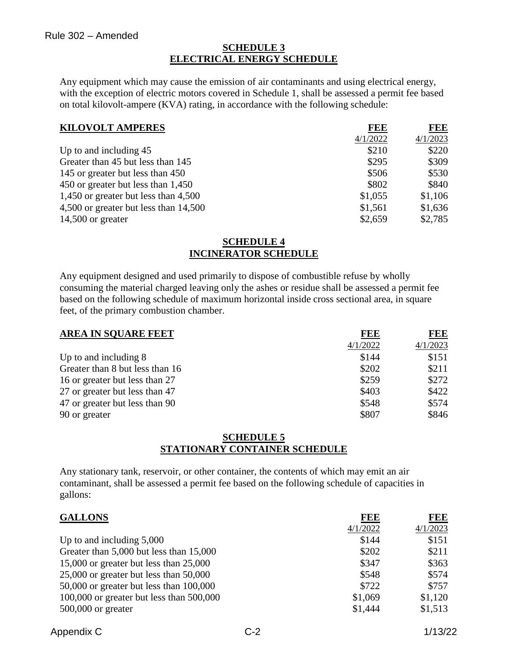#### **SCHEDULE 3 ELECTRICAL ENERGY SCHEDULE**

Any equipment which may cause the emission of air contaminants and using electrical energy, with the exception of electric motors covered in Schedule 1, shall be assessed a permit fee based on total kilovolt-ampere (KVA) rating, in accordance with the following schedule:

| <b>KILOVOLT AMPERES</b>                | FEE      | FEE      |
|----------------------------------------|----------|----------|
|                                        | 4/1/2022 | 4/1/2023 |
| Up to and including 45                 | \$210    | \$220    |
| Greater than 45 but less than 145      | \$295    | \$309    |
| 145 or greater but less than 450       | \$506    | \$530    |
| 450 or greater but less than 1,450     | \$802    | \$840    |
| 1,450 or greater but less than $4,500$ | \$1,055  | \$1,106  |
| 4,500 or greater but less than 14,500  | \$1,561  | \$1,636  |
| $14,500$ or greater                    | \$2,659  | \$2,785  |

#### **SCHEDULE 4 INCINERATOR SCHEDULE**

Any equipment designed and used primarily to dispose of combustible refuse by wholly consuming the material charged leaving only the ashes or residue shall be assessed a permit fee based on the following schedule of maximum horizontal inside cross sectional area, in square feet, of the primary combustion chamber.

| <b>AREA IN SOUARE FEET</b>      | FEE      | <b>FEE</b> |
|---------------------------------|----------|------------|
|                                 | 4/1/2022 | 4/1/2023   |
| Up to and including 8           | \$144    | \$151      |
| Greater than 8 but less than 16 | \$202    | \$211      |
| 16 or greater but less than 27  | \$259    | \$272      |
| 27 or greater but less than 47  | \$403    | \$422      |
| 47 or greater but less than 90  | \$548    | \$574      |
| 90 or greater                   | \$807    | \$846      |

#### **SCHEDULE 5 STATIONARY CONTAINER SCHEDULE**

Any stationary tank, reservoir, or other container, the contents of which may emit an air contaminant, shall be assessed a permit fee based on the following schedule of capacities in gallons:

| <b>GALLONS</b>                               | <b>FEE</b> | FEE      |
|----------------------------------------------|------------|----------|
|                                              | 4/1/2022   | 4/1/2023 |
| Up to and including $5,000$                  | \$144      | \$151    |
| Greater than 5,000 but less than 15,000      | \$202      | \$211    |
| 15,000 or greater but less than 25,000       | \$347      | \$363    |
| 25,000 or greater but less than 50,000       | \$548      | \$574    |
| $50,000$ or greater but less than $100,000$  | \$722      | \$757    |
| $100,000$ or greater but less than $500,000$ | \$1,069    | \$1,120  |
| $500,000$ or greater                         | \$1,444    | \$1,513  |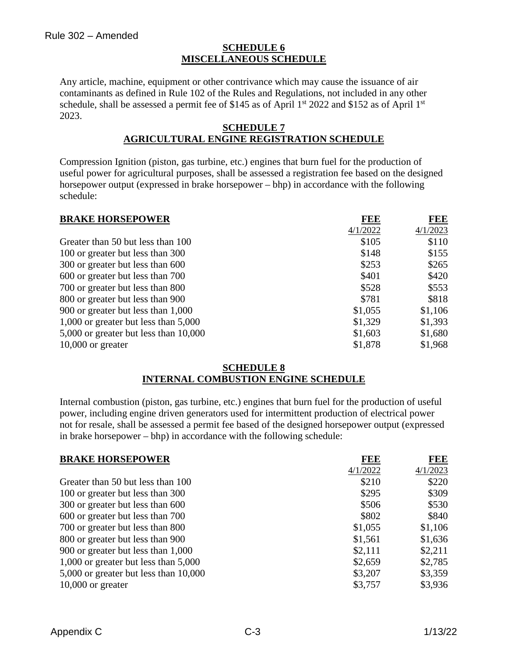### **SCHEDULE 6 MISCELLANEOUS SCHEDULE**

Any article, machine, equipment or other contrivance which may cause the issuance of air contaminants as defined in Rule 102 of the Rules and Regulations, not included in any other schedule, shall be assessed a permit fee of \$145 as of April  $1<sup>st</sup>$  2022 and \$152 as of April  $1<sup>st</sup>$ 2023.

#### **SCHEDULE 7 AGRICULTURAL ENGINE REGISTRATION SCHEDULE**

Compression Ignition (piston, gas turbine, etc.) engines that burn fuel for the production of useful power for agricultural purposes, shall be assessed a registration fee based on the designed horsepower output (expressed in brake horsepower – bhp) in accordance with the following schedule:

| <b>BRAKE HORSEPOWER</b>                | FEE      | FEE      |
|----------------------------------------|----------|----------|
|                                        | 4/1/2022 | 4/1/2023 |
| Greater than 50 but less than 100      | \$105    | \$110    |
| 100 or greater but less than 300       | \$148    | \$155    |
| 300 or greater but less than 600       | \$253    | \$265    |
| 600 or greater but less than 700       | \$401    | \$420    |
| 700 or greater but less than 800       | \$528    | \$553    |
| 800 or greater but less than 900       | \$781    | \$818    |
| 900 or greater but less than 1,000     | \$1,055  | \$1,106  |
| 1,000 or greater but less than $5,000$ | \$1,329  | \$1,393  |
| 5,000 or greater but less than 10,000  | \$1,603  | \$1,680  |
| $10,000$ or greater                    | \$1,878  | \$1,968  |

#### **SCHEDULE 8 INTERNAL COMBUSTION ENGINE SCHEDULE**

Internal combustion (piston, gas turbine, etc.) engines that burn fuel for the production of useful power, including engine driven generators used for intermittent production of electrical power not for resale, shall be assessed a permit fee based of the designed horsepower output (expressed in brake horsepower – bhp) in accordance with the following schedule:

| <b>BRAKE HORSEPOWER</b>               | FEE      | <b>FEE</b> |
|---------------------------------------|----------|------------|
|                                       | 4/1/2022 | 4/1/2023   |
| Greater than 50 but less than 100     | \$210    | \$220      |
| 100 or greater but less than 300      | \$295    | \$309      |
| 300 or greater but less than 600      | \$506    | \$530      |
| 600 or greater but less than 700      | \$802    | \$840      |
| 700 or greater but less than 800      | \$1,055  | \$1,106    |
| 800 or greater but less than 900      | \$1,561  | \$1,636    |
| 900 or greater but less than 1,000    | \$2,111  | \$2,211    |
| 1,000 or greater but less than 5,000  | \$2,659  | \$2,785    |
| 5,000 or greater but less than 10,000 | \$3,207  | \$3,359    |
| $10,000$ or greater                   | \$3,757  | \$3,936    |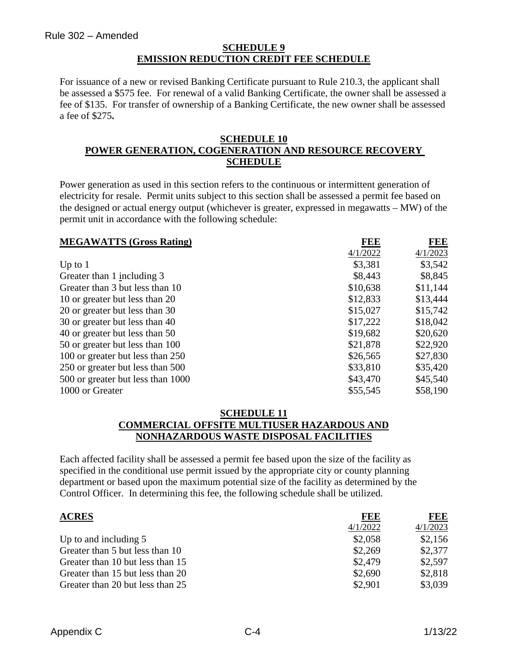### **SCHEDULE 9 EMISSION REDUCTION CREDIT FEE SCHEDULE**

For issuance of a new or revised Banking Certificate pursuant to Rule 210.3, the applicant shall be assessed a \$575 fee. For renewal of a valid Banking Certificate, the owner shall be assessed a fee of \$135. For transfer of ownership of a Banking Certificate, the new owner shall be assessed a fee of \$275**.**

#### **SCHEDULE 10 POWER GENERATION, COGENERATION AND RESOURCE RECOVERY SCHEDULE**

Power generation as used in this section refers to the continuous or intermittent generation of electricity for resale. Permit units subject to this section shall be assessed a permit fee based on the designed or actual energy output (whichever is greater, expressed in megawatts – MW) of the permit unit in accordance with the following schedule:

| <b>MEGAWATTS (Gross Rating)</b>   | <b>FEE</b> | <b>FEE</b> |
|-----------------------------------|------------|------------|
|                                   | 4/1/2022   | 4/1/2023   |
| Up to $1$                         | \$3,381    | \$3,542    |
| Greater than 1 including 3        | \$8,443    | \$8,845    |
| Greater than 3 but less than 10   | \$10,638   | \$11,144   |
| 10 or greater but less than 20    | \$12,833   | \$13,444   |
| 20 or greater but less than 30    | \$15,027   | \$15,742   |
| 30 or greater but less than 40    | \$17,222   | \$18,042   |
| 40 or greater but less than 50    | \$19,682   | \$20,620   |
| 50 or greater but less than 100   | \$21,878   | \$22,920   |
| 100 or greater but less than 250  | \$26,565   | \$27,830   |
| 250 or greater but less than 500  | \$33,810   | \$35,420   |
| 500 or greater but less than 1000 | \$43,470   | \$45,540   |
| 1000 or Greater                   | \$55,545   | \$58,190   |

#### **SCHEDULE 11 COMMERCIAL OFFSITE MULTIUSER HAZARDOUS AND NONHAZARDOUS WASTE DISPOSAL FACILITIES**

Each affected facility shall be assessed a permit fee based upon the size of the facility as specified in the conditional use permit issued by the appropriate city or county planning department or based upon the maximum potential size of the facility as determined by the Control Officer. In determining this fee, the following schedule shall be utilized.

| <b>ACRES</b>                     | FEE      | FEE      |
|----------------------------------|----------|----------|
|                                  | 4/1/2022 | 4/1/2023 |
| Up to and including 5            | \$2,058  | \$2,156  |
| Greater than 5 but less than 10  | \$2,269  | \$2,377  |
| Greater than 10 but less than 15 | \$2,479  | \$2,597  |
| Greater than 15 but less than 20 | \$2,690  | \$2,818  |
| Greater than 20 but less than 25 | \$2,901  | \$3,039  |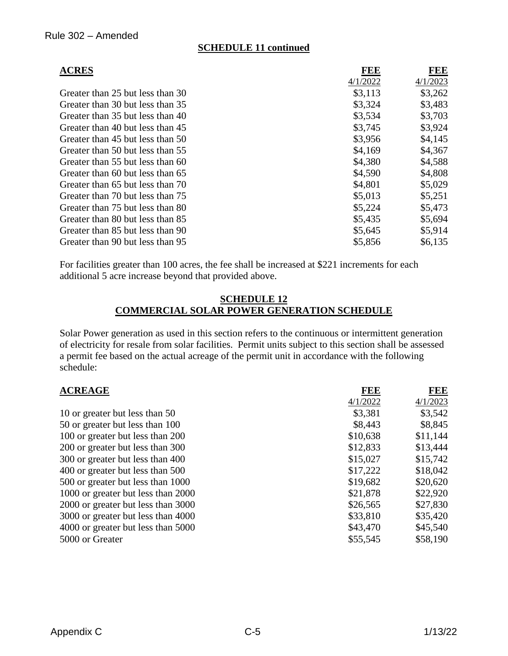### **SCHEDULE 11 continued**

| <b>ACRES</b>                     | FEE      | <b>FEE</b> |
|----------------------------------|----------|------------|
|                                  | 4/1/2022 | 4/1/2023   |
| Greater than 25 but less than 30 | \$3,113  | \$3,262    |
| Greater than 30 but less than 35 | \$3,324  | \$3,483    |
| Greater than 35 but less than 40 | \$3,534  | \$3,703    |
| Greater than 40 but less than 45 | \$3,745  | \$3,924    |
| Greater than 45 but less than 50 | \$3,956  | \$4,145    |
| Greater than 50 but less than 55 | \$4,169  | \$4,367    |
| Greater than 55 but less than 60 | \$4,380  | \$4,588    |
| Greater than 60 but less than 65 | \$4,590  | \$4,808    |
| Greater than 65 but less than 70 | \$4,801  | \$5,029    |
| Greater than 70 but less than 75 | \$5,013  | \$5,251    |
| Greater than 75 but less than 80 | \$5,224  | \$5,473    |
| Greater than 80 but less than 85 | \$5,435  | \$5,694    |
| Greater than 85 but less than 90 | \$5,645  | \$5,914    |
| Greater than 90 but less than 95 | \$5,856  | \$6,135    |

For facilities greater than 100 acres, the fee shall be increased at \$221 increments for each additional 5 acre increase beyond that provided above.

#### **SCHEDULE 12 COMMERCIAL SOLAR POWER GENERATION SCHEDULE**

Solar Power generation as used in this section refers to the continuous or intermittent generation of electricity for resale from solar facilities. Permit units subject to this section shall be assessed a permit fee based on the actual acreage of the permit unit in accordance with the following schedule:

| <b>ACREAGE</b>                     | <b>FEE</b> | <b>FEE</b> |
|------------------------------------|------------|------------|
|                                    | 4/1/2022   | 4/1/2023   |
| 10 or greater but less than 50     | \$3,381    | \$3,542    |
| 50 or greater but less than 100    | \$8,443    | \$8,845    |
| 100 or greater but less than 200   | \$10,638   | \$11,144   |
| 200 or greater but less than 300   | \$12,833   | \$13,444   |
| 300 or greater but less than 400   | \$15,027   | \$15,742   |
| 400 or greater but less than 500   | \$17,222   | \$18,042   |
| 500 or greater but less than 1000  | \$19,682   | \$20,620   |
| 1000 or greater but less than 2000 | \$21,878   | \$22,920   |
| 2000 or greater but less than 3000 | \$26,565   | \$27,830   |
| 3000 or greater but less than 4000 | \$33,810   | \$35,420   |
| 4000 or greater but less than 5000 | \$43,470   | \$45,540   |
| 5000 or Greater                    | \$55,545   | \$58,190   |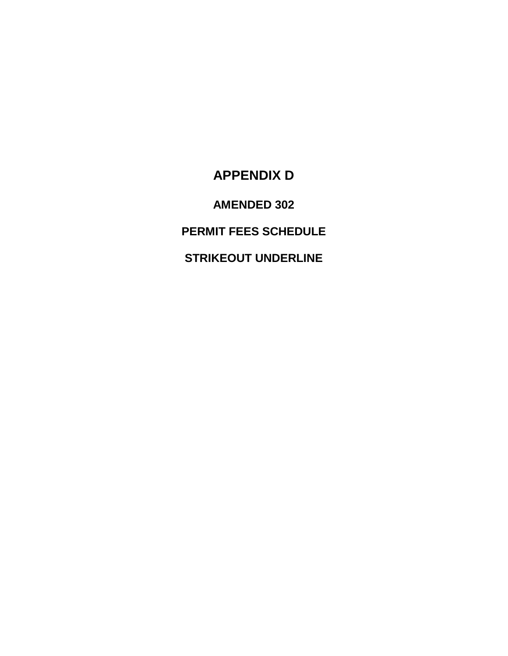# **APPENDIX D**

**AMENDED 302**

**PERMIT FEES SCHEDULE**

**STRIKEOUT UNDERLINE**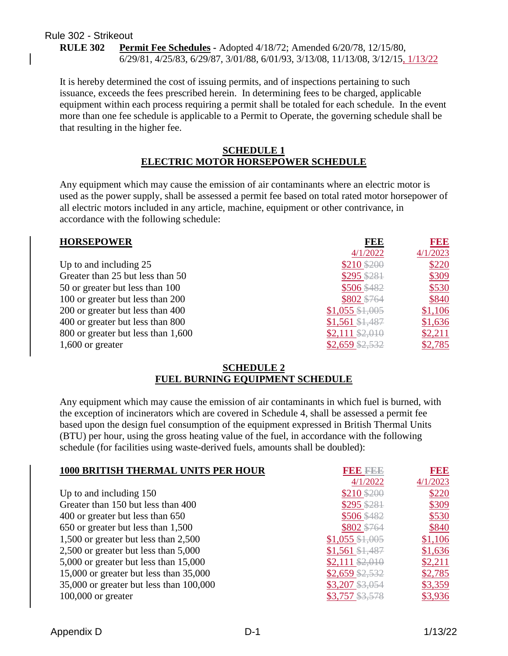#### Rule 302 - Strikeout **RULE 302 Permit Fee Schedules -** Adopted 4/18/72; Amended 6/20/78, 12/15/80, 6/29/81, 4/25/83, 6/29/87, 3/01/88, 6/01/93, 3/13/08, 11/13/08, 3/12/15, 1/13/22

It is hereby determined the cost of issuing permits, and of inspections pertaining to such issuance, exceeds the fees prescribed herein. In determining fees to be charged, applicable equipment within each process requiring a permit shall be totaled for each schedule. In the event more than one fee schedule is applicable to a Permit to Operate, the governing schedule shall be that resulting in the higher fee.

#### **SCHEDULE 1 ELECTRIC MOTOR HORSEPOWER SCHEDULE**

Any equipment which may cause the emission of air contaminants where an electric motor is used as the power supply, shall be assessed a permit fee based on total rated motor horsepower of all electric motors included in any article, machine, equipment or other contrivance, in accordance with the following schedule:

| <b>HORSEPOWER</b>                  | <b>FEE</b>        | 1990     |
|------------------------------------|-------------------|----------|
|                                    | 4/1/2022          | 4/1/2023 |
| Up to and including 25             | \$210 \$200       | \$220    |
| Greater than 25 but less than 50   | \$295 \$281       | \$309    |
| 50 or greater but less than 100    | \$506 \$482       | \$530    |
| 100 or greater but less than 200   | \$802 \$764       | \$840    |
| 200 or greater but less than 400   | $$1,055$ $$1,005$ | \$1,106  |
| 400 or greater but less than 800   | $$1,561$ $$1,487$ | \$1,636  |
| 800 or greater but less than 1,600 | $$2,111$ $$2,010$ | \$2,211  |
| $1,600$ or greater                 | $$2,659$ \$2,532  | \$2,785  |

#### **SCHEDULE 2 FUEL BURNING EQUIPMENT SCHEDULE**

Any equipment which may cause the emission of air contaminants in which fuel is burned, with the exception of incinerators which are covered in Schedule 4, shall be assessed a permit fee based upon the design fuel consumption of the equipment expressed in British Thermal Units (BTU) per hour, using the gross heating value of the fuel, in accordance with the following schedule (for facilities using waste-derived fuels, amounts shall be doubled):

| <b>1000 BRITISH THERMAL UNITS PER HOUR</b> |                   | <b>BBB</b> |
|--------------------------------------------|-------------------|------------|
|                                            | 4/1/2022          | 4/1/2023   |
| Up to and including $150$                  | $$210$ \$200      | \$220      |
| Greater than 150 but less than 400         | $$295$ \$281      | \$309      |
| 400 or greater but less than 650           | \$506 \$482       | \$530      |
| 650 or greater but less than 1,500         | \$802 \$764       | \$840      |
| 1,500 or greater but less than 2,500       | $$1,055$ $$1,005$ | \$1,106    |
| 2,500 or greater but less than 5,000       | $$1,561$ $$1,487$ | \$1,636    |
| 5,000 or greater but less than 15,000      | $$2,111$ $$2,010$ | \$2,211    |
| 15,000 or greater but less than 35,000     | $$2,659$ \$2,532  | \$2,785    |
| 35,000 or greater but less than 100,000    | $$3,207$ $$3,054$ | \$3,359    |
| $100,000$ or greater                       | \$3,757 \$3,578   | \$3,936    |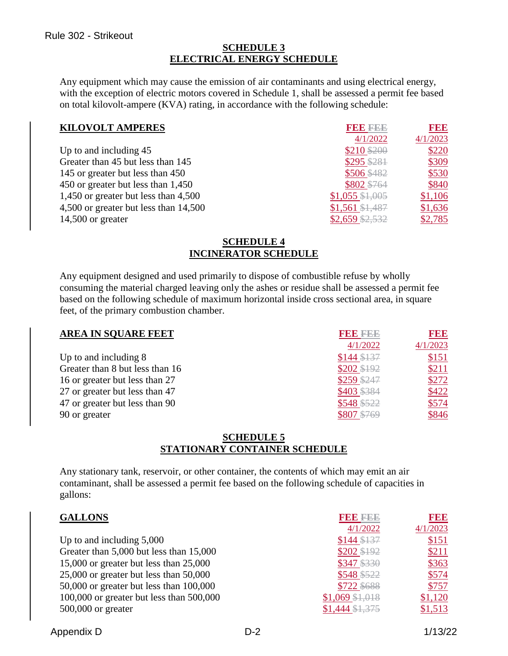### **SCHEDULE 3 ELECTRICAL ENERGY SCHEDULE**

Any equipment which may cause the emission of air contaminants and using electrical energy, with the exception of electric motors covered in Schedule 1, shall be assessed a permit fee based on total kilovolt-ampere (KVA) rating, in accordance with the following schedule:

| <b>KILOVOLT AMPERES</b>                | <b>FBBBBBB</b>    | <b>BBB</b> |
|----------------------------------------|-------------------|------------|
|                                        | 4/1/2022          | 4/1/2023   |
| Up to and including 45                 | $$210$ \$200      | \$220      |
| Greater than 45 but less than 145      | $$295$ \$281      | \$309      |
| 145 or greater but less than 450       | \$506 \$482       | \$530      |
| 450 or greater but less than 1,450     | \$802 \$764       | \$840      |
| 1,450 or greater but less than $4,500$ | $$1,055$ $$1,005$ | \$1,106    |
| 4,500 or greater but less than 14,500  | $$1,561$ $$1,487$ | \$1,636    |
| $14,500$ or greater                    | $$2,659$ $$2,532$ | \$2,785    |

#### **SCHEDULE 4 INCINERATOR SCHEDULE**

Any equipment designed and used primarily to dispose of combustible refuse by wholly consuming the material charged leaving only the ashes or residue shall be assessed a permit fee based on the following schedule of maximum horizontal inside cross sectional area, in square feet, of the primary combustion chamber.

| <b>AREA IN SQUARE FEET</b>      | <b>RBBBBBB</b> | 13 B B   |
|---------------------------------|----------------|----------|
|                                 | 4/1/2022       | 4/1/2023 |
| Up to and including 8           | $$144$ \$137   | \$151    |
| Greater than 8 but less than 16 | $$202$ \$192   | \$211    |
| 16 or greater but less than 27  | $$259$ \$247   | \$272    |
| 27 or greater but less than 47  | \$403 \$384    | \$422    |
| 47 or greater but less than 90  | \$548 \$522    | \$574    |
| 90 or greater                   | \$807 \$769    | \$846    |

#### **SCHEDULE 5 STATIONARY CONTAINER SCHEDULE**

Any stationary tank, reservoir, or other container, the contents of which may emit an air contaminant, shall be assessed a permit fee based on the following schedule of capacities in gallons:

| <b>GALLONS</b>                              | <b>BBBBBBB</b>    | FEE      |
|---------------------------------------------|-------------------|----------|
|                                             | 4/1/2022          | 4/1/2023 |
| Up to and including $5,000$                 | $$144$ \$137      | \$151    |
| Greater than 5,000 but less than 15,000     | \$202 \$192       | \$211    |
| 15,000 or greater but less than 25,000      | \$347 \$330       | \$363    |
| 25,000 or greater but less than 50,000      | \$548 \$522       | \$574    |
| $50,000$ or greater but less than $100,000$ | \$722 \$688       | \$757    |
| 100,000 or greater but less than 500,000    | $$1,069$ $$1,018$ | \$1,120  |
| $500,000$ or greater                        | \$1,444 \$1,375   | \$1,513  |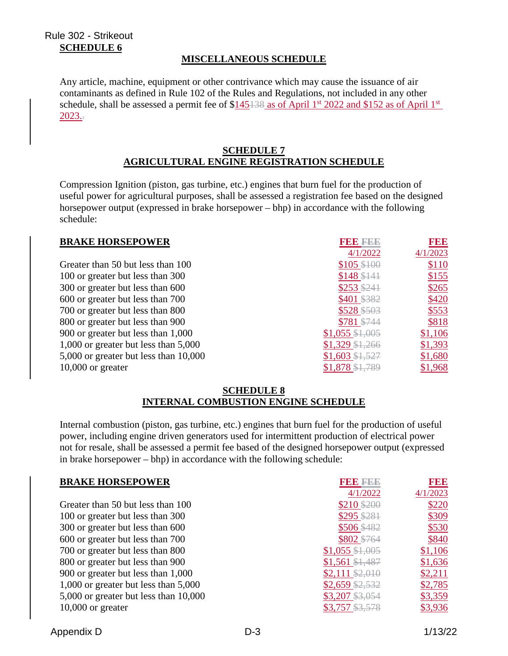## Rule 302 - Strikeout **SCHEDULE 6**

## **MISCELLANEOUS SCHEDULE**

Any article, machine, equipment or other contrivance which may cause the issuance of air contaminants as defined in Rule 102 of the Rules and Regulations, not included in any other schedule, shall be assessed a permit fee of  $$145138$  as of April 1<sup>st</sup> 2022 and \$152 as of April 1<sup>st</sup> 2023..

#### **SCHEDULE 7 AGRICULTURAL ENGINE REGISTRATION SCHEDULE**

Compression Ignition (piston, gas turbine, etc.) engines that burn fuel for the production of useful power for agricultural purposes, shall be assessed a registration fee based on the designed horsepower output (expressed in brake horsepower – bhp) in accordance with the following schedule:

| <b>BRAKE HORSEPOWER</b>               |                   | <b>BBB</b> |
|---------------------------------------|-------------------|------------|
|                                       | 4/1/2022          | 4/1/2023   |
| Greater than 50 but less than 100     | $$105$ \$100      | \$110      |
| 100 or greater but less than 300      | $$148$ \$141      | \$155      |
| 300 or greater but less than 600      | $$253$ \$241      | \$265      |
| 600 or greater but less than 700      | \$401 \$382       | \$420      |
| 700 or greater but less than 800      | \$528 \$503       | \$553      |
| 800 or greater but less than 900      | \$781 \$744       | \$818      |
| 900 or greater but less than 1,000    | $$1,055$ $$1,005$ | \$1,106    |
| 1,000 or greater but less than 5,000  | $$1,329$ $$1,266$ | \$1,393    |
| 5,000 or greater but less than 10,000 | $$1,603$ $$1,527$ | \$1,680    |
| $10,000$ or greater                   | $$1,878$ $$1,789$ | \$1,968    |

#### **SCHEDULE 8 INTERNAL COMBUSTION ENGINE SCHEDULE**

Internal combustion (piston, gas turbine, etc.) engines that burn fuel for the production of useful power, including engine driven generators used for intermittent production of electrical power not for resale, shall be assessed a permit fee based of the designed horsepower output (expressed in brake horsepower – bhp) in accordance with the following schedule:

| <b>BRAKE HORSEPOWER</b>               | FBB 222           | <b>BBB</b> |
|---------------------------------------|-------------------|------------|
|                                       | 4/1/2022          | 4/1/2023   |
| Greater than 50 but less than 100     | \$210 \$200       | \$220      |
| 100 or greater but less than 300      | \$295 \$281       | \$309      |
| 300 or greater but less than 600      | \$506 \$482       | \$530      |
| 600 or greater but less than 700      | \$802 \$764       | \$840      |
| 700 or greater but less than 800      | $$1,055$ $$1,005$ | \$1,106    |
| 800 or greater but less than 900      | $$1,561$ $$1,487$ | \$1,636    |
| 900 or greater but less than 1,000    | $$2,111$ $$2,010$ | \$2,211    |
| 1,000 or greater but less than 5,000  | $$2,659$ $$2,532$ | \$2,785    |
| 5,000 or greater but less than 10,000 | $$3,207$ $$3,054$ | \$3,359    |
| $10,000$ or greater                   | \$3,757 \$3,578   | \$3,936    |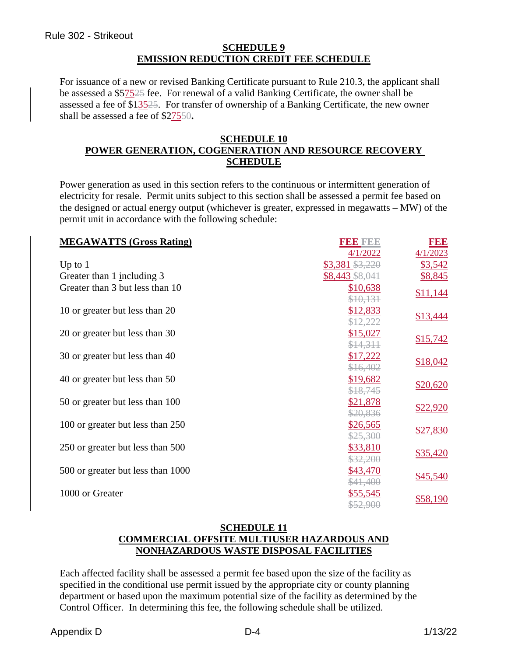### **SCHEDULE 9 EMISSION REDUCTION CREDIT FEE SCHEDULE**

For issuance of a new or revised Banking Certificate pursuant to Rule 210.3, the applicant shall be assessed a \$57525 fee. For renewal of a valid Banking Certificate, the owner shall be assessed a fee of \$13525. For transfer of ownership of a Banking Certificate, the new owner shall be assessed a fee of \$27550**.**

#### **SCHEDULE 10 POWER GENERATION, COGENERATION AND RESOURCE RECOVERY SCHEDULE**

Power generation as used in this section refers to the continuous or intermittent generation of electricity for resale. Permit units subject to this section shall be assessed a permit fee based on the designed or actual energy output (whichever is greater, expressed in megawatts – MW) of the permit unit in accordance with the following schedule:

| <b>MEGAWATTS (Gross Rating)</b>   | <b>BBBBBBBB</b> | FEE      |
|-----------------------------------|-----------------|----------|
|                                   | 4/1/2022        | 4/1/2023 |
| Up to $1$                         | \$3,381 \$3,220 | \$3,542  |
| Greater than 1 including 3        | \$8,443 \$8,041 | \$8,845  |
| Greater than 3 but less than 10   | \$10,638        |          |
|                                   | \$10,131        | \$11,144 |
| 10 or greater but less than 20    | \$12,833        |          |
|                                   | \$12,222        | \$13,444 |
| 20 or greater but less than 30    | \$15,027        |          |
|                                   | \$14,311        | \$15,742 |
| 30 or greater but less than 40    | \$17,222        |          |
|                                   | \$16,402        | \$18,042 |
| 40 or greater but less than 50    | \$19,682        |          |
|                                   | \$18,745        | \$20,620 |
| 50 or greater but less than 100   | \$21,878        |          |
|                                   | \$20,836        | \$22,920 |
| 100 or greater but less than 250  | \$26,565        |          |
|                                   | \$25,300        | \$27,830 |
| 250 or greater but less than 500  | \$33,810        |          |
|                                   | \$32,200        | \$35,420 |
| 500 or greater but less than 1000 | \$43,470        |          |
|                                   | \$41,400        | \$45,540 |
| 1000 or Greater                   | \$55,545        |          |
|                                   | \$52,900        | \$58,190 |

### **SCHEDULE 11 COMMERCIAL OFFSITE MULTIUSER HAZARDOUS AND NONHAZARDOUS WASTE DISPOSAL FACILITIES**

Each affected facility shall be assessed a permit fee based upon the size of the facility as specified in the conditional use permit issued by the appropriate city or county planning department or based upon the maximum potential size of the facility as determined by the Control Officer. In determining this fee, the following schedule shall be utilized.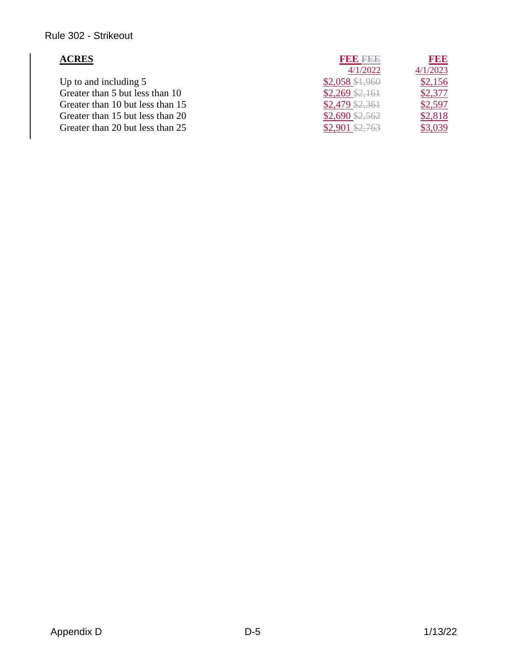# Rule 302 - Strikeout

| <b>ACRES</b>                     | <b>BDD 2222</b>   | <b>BBB</b> |
|----------------------------------|-------------------|------------|
|                                  | 4/1/2022          | 4/1/2023   |
| Up to and including 5            | $$2,058$ \$1,960  | \$2,156    |
| Greater than 5 but less than 10  | $$2,269$ $$2,161$ | \$2,377    |
| Greater than 10 but less than 15 | $$2,479$ $$2,361$ | \$2,597    |
| Greater than 15 but less than 20 | $$2,690$ \$2,562  | \$2,818    |
| Greater than 20 but less than 25 | $$2,901$ \$2,763  | \$3,039    |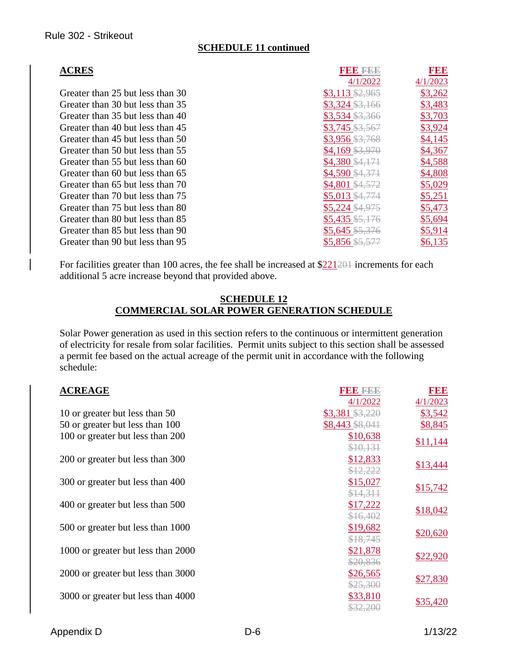### **SCHEDULE 11 continued**

| <b>ACRES</b>                     | <b>RBBBBBB</b>           | <b>RBB</b> |
|----------------------------------|--------------------------|------------|
|                                  | 4/1/2022                 | 4/1/2023   |
| Greater than 25 but less than 30 | $$3,113 \frac{2,965}{2}$ | \$3,262    |
| Greater than 30 but less than 35 | $$3,324$ $$3,166$        | \$3,483    |
| Greater than 35 but less than 40 | $$3,534$ $$3,366$        | \$3,703    |
| Greater than 40 but less than 45 | $$3,745$ $$3,567$        | \$3,924    |
| Greater than 45 but less than 50 | \$3,956 \$3,768          | \$4,145    |
| Greater than 50 but less than 55 | $$4,169$ $$3,970$        | \$4,367    |
| Greater than 55 but less than 60 | $$4,380$ $$4,171$        | \$4,588    |
| Greater than 60 but less than 65 | $$4,590 \text{ } $4,371$ | \$4,808    |
| Greater than 65 but less than 70 | \$4,801 \$4,572          | \$5,029    |
| Greater than 70 but less than 75 | $$5,013$ \$4,774         | \$5,251    |
| Greater than 75 but less than 80 | $$5,224$ \$4,975         | \$5,473    |
| Greater than 80 but less than 85 | $$5,435$ $$5,176$        | \$5,694    |
| Greater than 85 but less than 90 | $$5,645$ \$5,376         | \$5,914    |
| Greater than 90 but less than 95 | \$5,856 \$5,577          | \$6,135    |

For facilities greater than 100 acres, the fee shall be increased at \$221201 increments for each additional 5 acre increase beyond that provided above.

#### **SCHEDULE 12 COMMERCIAL SOLAR POWER GENERATION SCHEDULE**

Solar Power generation as used in this section refers to the continuous or intermittent generation of electricity for resale from solar facilities. Permit units subject to this section shall be assessed a permit fee based on the actual acreage of the permit unit in accordance with the following schedule:

| <b>ACREAGE</b>                     | 3  3  3    3  3  3  | FEE      |
|------------------------------------|---------------------|----------|
|                                    | 4/1/2022            | 4/1/2023 |
| 10 or greater but less than 50     | $$3,381$ $$3,220$   | \$3,542  |
| 50 or greater but less than 100    | \$8,443 \$8,041     | \$8,845  |
| 100 or greater but less than 200   | \$10,638            |          |
|                                    | \$10,131            | \$11,144 |
| 200 or greater but less than 300   | \$12,833            |          |
|                                    | \$12,222            | \$13,444 |
| 300 or greater but less than 400   | \$15,027            |          |
|                                    | \$14,311            | \$15,742 |
| 400 or greater but less than 500   | \$17,222            |          |
|                                    | \$16,402            | \$18,042 |
| 500 or greater but less than 1000  | \$19,682            |          |
|                                    | \$18,745            | \$20,620 |
| 1000 or greater but less than 2000 | \$21,878            |          |
|                                    | \$20,836            | \$22,920 |
| 2000 or greater but less than 3000 | \$26,565            |          |
|                                    | \$25,300            | \$27,830 |
| 3000 or greater but less than 4000 | \$33,810            |          |
|                                    | <del>\$32,200</del> | \$35,420 |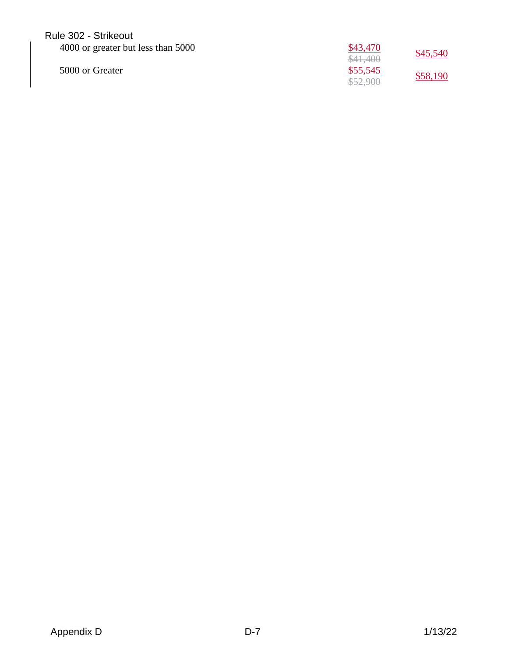## Rule 302 - Strikeout

| 4000 or greater but less than 5000 | \$43,470 | \$45,540 |
|------------------------------------|----------|----------|
|                                    | \$41,400 |          |
| 5000 or Greater                    | \$55,545 | \$58,190 |
|                                    | \$52,900 |          |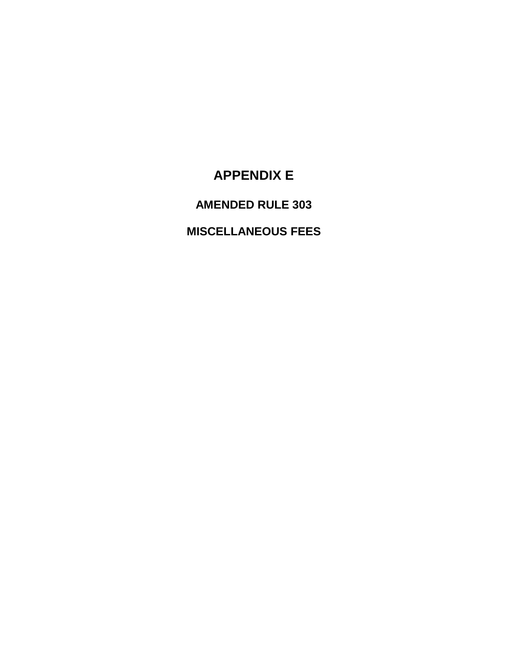# **APPENDIX E**

# **AMENDED RULE 303**

# **MISCELLANEOUS FEES**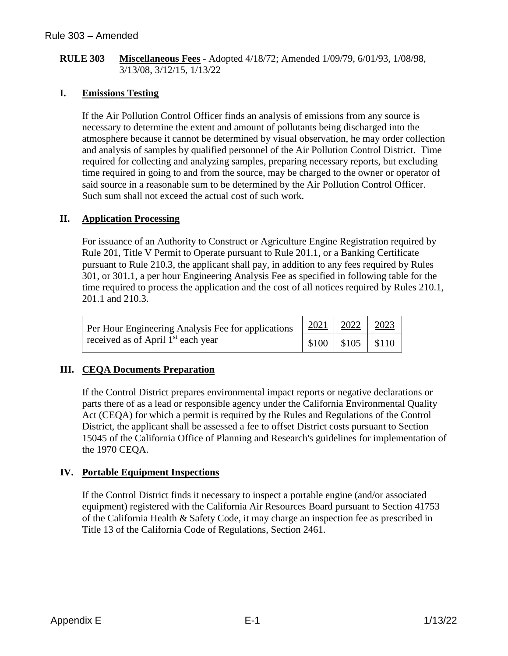#### **RULE 303 Miscellaneous Fees** - Adopted 4/18/72; Amended 1/09/79, 6/01/93, 1/08/98, 3/13/08, 3/12/15, 1/13/22

## **I. Emissions Testing**

If the Air Pollution Control Officer finds an analysis of emissions from any source is necessary to determine the extent and amount of pollutants being discharged into the atmosphere because it cannot be determined by visual observation, he may order collection and analysis of samples by qualified personnel of the Air Pollution Control District. Time required for collecting and analyzing samples, preparing necessary reports, but excluding time required in going to and from the source, may be charged to the owner or operator of said source in a reasonable sum to be determined by the Air Pollution Control Officer. Such sum shall not exceed the actual cost of such work.

## **II. Application Processing**

For issuance of an Authority to Construct or Agriculture Engine Registration required by Rule 201, Title V Permit to Operate pursuant to Rule 201.1, or a Banking Certificate pursuant to Rule 210.3, the applicant shall pay, in addition to any fees required by Rules 301, or 301.1, a per hour Engineering Analysis Fee as specified in following table for the time required to process the application and the cost of all notices required by Rules 210.1, 201.1 and 210.3.

| Per Hour Engineering Analysis Fee for applications<br>received as of April 1 <sup>st</sup> each year | $2021$   2022   2023         |  |
|------------------------------------------------------------------------------------------------------|------------------------------|--|
|                                                                                                      | $  $100 \t   $105 \t   $110$ |  |

## **III. CEQA Documents Preparation**

If the Control District prepares environmental impact reports or negative declarations or parts there of as a lead or responsible agency under the California Environmental Quality Act (CEQA) for which a permit is required by the Rules and Regulations of the Control District, the applicant shall be assessed a fee to offset District costs pursuant to Section 15045 of the California Office of Planning and Research's guidelines for implementation of the 1970 CEQA.

### **IV. Portable Equipment Inspections**

If the Control District finds it necessary to inspect a portable engine (and/or associated equipment) registered with the California Air Resources Board pursuant to Section 41753 of the California Health & Safety Code, it may charge an inspection fee as prescribed in Title 13 of the California Code of Regulations, Section 2461.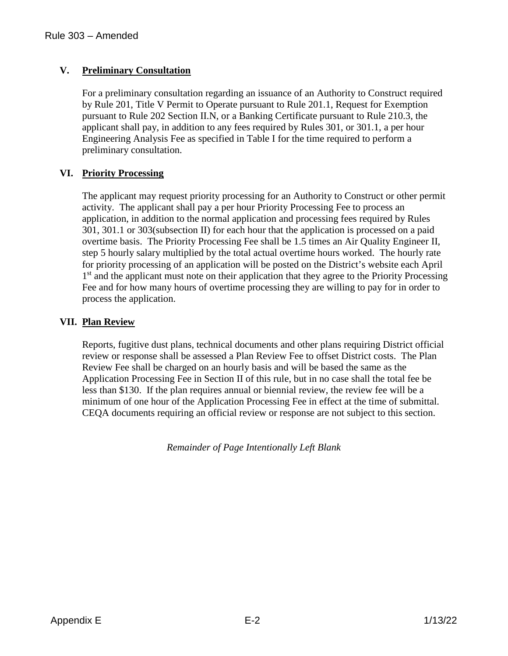## **V. Preliminary Consultation**

For a preliminary consultation regarding an issuance of an Authority to Construct required by Rule 201, Title V Permit to Operate pursuant to Rule 201.1, Request for Exemption pursuant to Rule 202 Section II.N, or a Banking Certificate pursuant to Rule 210.3, the applicant shall pay, in addition to any fees required by Rules 301, or 301.1, a per hour Engineering Analysis Fee as specified in Table I for the time required to perform a preliminary consultation.

## **VI. Priority Processing**

The applicant may request priority processing for an Authority to Construct or other permit activity. The applicant shall pay a per hour Priority Processing Fee to process an application, in addition to the normal application and processing fees required by Rules 301, 301.1 or 303(subsection II) for each hour that the application is processed on a paid overtime basis. The Priority Processing Fee shall be 1.5 times an Air Quality Engineer II, step 5 hourly salary multiplied by the total actual overtime hours worked. The hourly rate for priority processing of an application will be posted on the District's website each April 1<sup>st</sup> and the applicant must note on their application that they agree to the Priority Processing Fee and for how many hours of overtime processing they are willing to pay for in order to process the application.

### **VII. Plan Review**

Reports, fugitive dust plans, technical documents and other plans requiring District official review or response shall be assessed a Plan Review Fee to offset District costs. The Plan Review Fee shall be charged on an hourly basis and will be based the same as the Application Processing Fee in Section II of this rule, but in no case shall the total fee be less than \$130. If the plan requires annual or biennial review, the review fee will be a minimum of one hour of the Application Processing Fee in effect at the time of submittal. CEQA documents requiring an official review or response are not subject to this section.

*Remainder of Page Intentionally Left Blank*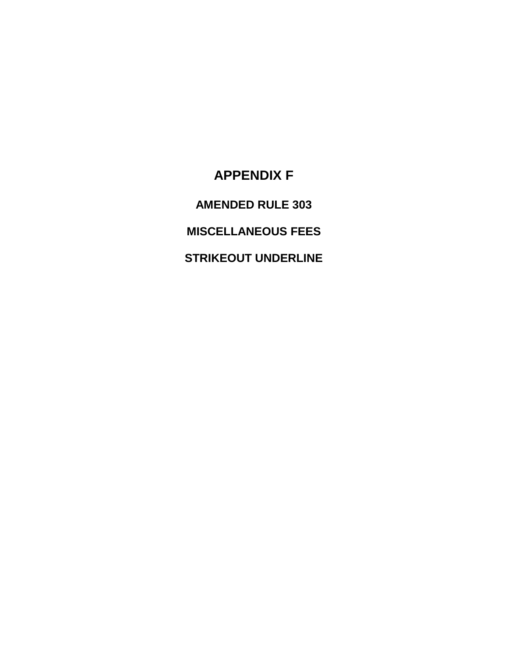# **APPENDIX F**

**AMENDED RULE 303**

**MISCELLANEOUS FEES**

**STRIKEOUT UNDERLINE**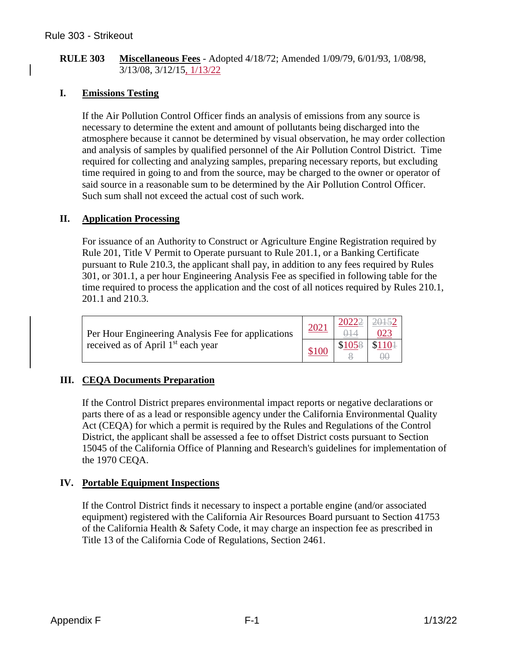#### **RULE 303 Miscellaneous Fees** - Adopted 4/18/72; Amended 1/09/79, 6/01/93, 1/08/98, 3/13/08, 3/12/15, 1/13/22

## **I. Emissions Testing**

If the Air Pollution Control Officer finds an analysis of emissions from any source is necessary to determine the extent and amount of pollutants being discharged into the atmosphere because it cannot be determined by visual observation, he may order collection and analysis of samples by qualified personnel of the Air Pollution Control District. Time required for collecting and analyzing samples, preparing necessary reports, but excluding time required in going to and from the source, may be charged to the owner or operator of said source in a reasonable sum to be determined by the Air Pollution Control Officer. Such sum shall not exceed the actual cost of such work.

### **II. Application Processing**

For issuance of an Authority to Construct or Agriculture Engine Registration required by Rule 201, Title V Permit to Operate pursuant to Rule 201.1, or a Banking Certificate pursuant to Rule 210.3, the applicant shall pay, in addition to any fees required by Rules 301, or 301.1, a per hour Engineering Analysis Fee as specified in following table for the time required to process the application and the cost of all notices required by Rules 210.1, 201.1 and 210.3.

| Per Hour Engineering Analysis Fee for applications<br>received as of April 1 <sup>st</sup> each year |       | 20222 |         |
|------------------------------------------------------------------------------------------------------|-------|-------|---------|
|                                                                                                      | \$100 |       | $$110+$ |

## **III. CEQA Documents Preparation**

If the Control District prepares environmental impact reports or negative declarations or parts there of as a lead or responsible agency under the California Environmental Quality Act (CEQA) for which a permit is required by the Rules and Regulations of the Control District, the applicant shall be assessed a fee to offset District costs pursuant to Section 15045 of the California Office of Planning and Research's guidelines for implementation of the 1970 CEQA.

### **IV. Portable Equipment Inspections**

If the Control District finds it necessary to inspect a portable engine (and/or associated equipment) registered with the California Air Resources Board pursuant to Section 41753 of the California Health & Safety Code, it may charge an inspection fee as prescribed in Title 13 of the California Code of Regulations, Section 2461.